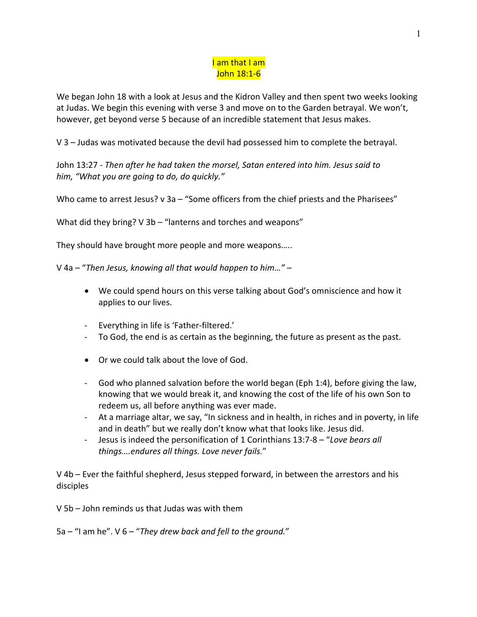## I am that I am John 18:1-6

We began John 18 with a look at Jesus and the Kidron Valley and then spent two weeks looking at Judas. We begin this evening with verse 3 and move on to the Garden betrayal. We won't, however, get beyond verse 5 because of an incredible statement that Jesus makes.

V 3 – Judas was motivated because the devil had possessed him to complete the betrayal.

John 13:27 - *Then after he had taken the morsel, Satan entered into him. Jesus said to him, "What you are going to do, do quickly."*

Who came to arrest Jesus? v 3a – "Some officers from the chief priests and the Pharisees"

What did they bring? V 3b – "lanterns and torches and weapons"

They should have brought more people and more weapons…..

V 4a – "*Then Jesus, knowing all that would happen to him…"* –

- We could spend hours on this verse talking about God's omniscience and how it applies to our lives.
- Everything in life is 'Father-filtered.'
- To God, the end is as certain as the beginning, the future as present as the past.
- Or we could talk about the love of God.
- God who planned salvation before the world began (Eph 1:4), before giving the law, knowing that we would break it, and knowing the cost of the life of his own Son to redeem us, all before anything was ever made.
- At a marriage altar, we say, "In sickness and in health, in riches and in poverty, in life and in death" but we really don't know what that looks like. Jesus did.
- Jesus is indeed the personification of 1 Corinthians 13:7-8 "*Love bears all things….endures all things. Love never fails.*"

V 4b – Ever the faithful shepherd, Jesus stepped forward, in between the arrestors and his disciples

V 5b – John reminds us that Judas was with them

5a – "I am he". V 6 – "*They drew back and fell to the ground.*"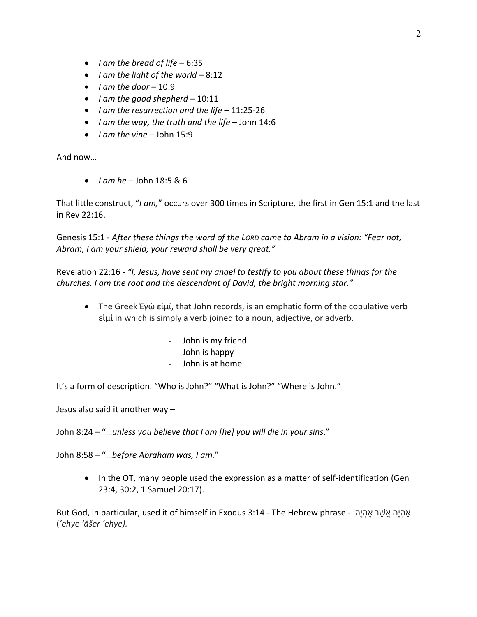- *I am the bread of life* 6:35
- *I am the light of the world* 8:12
- *I am the door* 10:9
- *I am the good shepherd* 10:11
- *I am the resurrection and the life* 11:25-26
- *I am the way, the truth and the life* John 14:6
- *I am the vine* John 15:9

And now…

• *I am he* – John 18:5 & 6

That little construct, "*I am,*" occurs over 300 times in Scripture, the first in Gen 15:1 and the last in Rev 22:16.

Genesis 15:1 - *After these things the word of the LORD came to Abram in a vision: "Fear not, Abram, I am your shield; your reward shall be very great."*

Revelation 22:16 - *"I, Jesus, have sent my angel to testify to you about these things for the churches. I am the root and the descendant of David, the bright morning star."*

- The Greek Ἐγώ εἰμί, that John records, is an emphatic form of the copulative verb εἰμί in which is simply a verb joined to a noun, adjective, or adverb.
	- John is my friend
	- John is happy
	- John is at home

It's a form of description. "Who is John?" "What is John?" "Where is John."

Jesus also said it another way –

John 8:24 – "…*unless you believe that I am [he] you will die in your sins*."

John 8:58 – "…*before Abraham was, I am.*"

• In the OT, many people used the expression as a matter of self-identification (Gen 23:4, 30:2, 1 Samuel 20:17).

But God, in particular, used it of himself in Exodus 3:14 - The Hebrew phrase - אֶהְיֶה אֲשֶׁר אֶהְיֶה (*'ehye 'ăšer 'ehye).*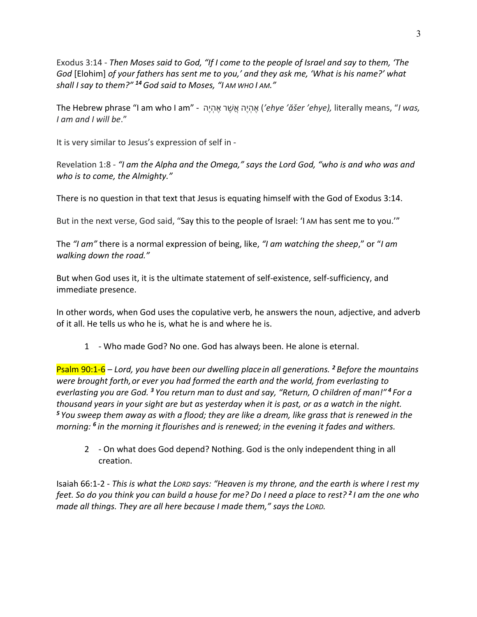Exodus 3:14 - *Then Moses said to God, "If I come to the people of Israel and say to them, 'The God* [Elohim] *of your fathers has sent me to you,' and they ask me, 'What is his name?' what shall I say to them?" <sup>14</sup>God said to Moses, "I AM WHO I AM."*

The Hebrew phrase "I am who I am" - אֶהְיֶה אֲשֶׁר אֶהְיֶה*'*) *ehye 'ăšer 'ehye),* literally means, "*I was, I am and I will be*."

It is very similar to Jesus's expression of self in -

Revelation 1:8 *- "I am the Alpha and the Omega," says the Lord God, "who is and who was and who is to come, the Almighty."*

There is no question in that text that Jesus is equating himself with the God of Exodus 3:14.

But in the next verse, God said, "Say this to the people of Israel: 'I AM has sent me to you.'"

The *"I am"* there is a normal expression of being, like, *"I am watching the sheep*," or "*I am walking down the road."*

But when God uses it, it is the ultimate statement of self-existence, self-sufficiency, and immediate presence.

In other words, when God uses the copulative verb, he answers the noun, adjective, and adverb of it all. He tells us who he is, what he is and where he is.

1 - Who made God? No one. God has always been. He alone is eternal.

Psalm 90:1-6 – *Lord, you have been our dwelling placein all generations. <sup>2</sup> Before the mountains were brought forth,or ever you had formed the earth and the world, from everlasting to everlasting you are God. <sup>3</sup> You return man to dust and say, "Return, O children of man!" <sup>4</sup> For a thousand years in your sight are but as yesterday when it is past, or as a watch in the night. <sup>5</sup> You sweep them away as with a flood; they are like a dream, like grass that is renewed in the morning: <sup>6</sup> in the morning it flourishes and is renewed; in the evening it fades and withers.*

2 - On what does God depend? Nothing. God is the only independent thing in all creation.

Isaiah 66:1-2 - *This is what the LORD says: "Heaven is my throne, and the earth is where I rest my feet. So do you think you can build a house for me? Do I need a place to rest? <sup>2</sup> I am the one who made all things. They are all here because I made them," says the LORD.*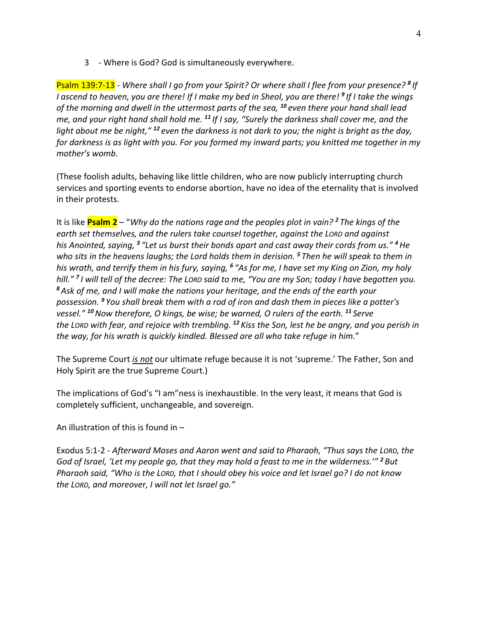3 - Where is God? God is simultaneously everywhere.

Psalm 139:7-13 - *Where shall I go from your Spirit? Or where shall I flee from your presence? <sup>8</sup> If I ascend to heaven, you are there! If I make my bed in Sheol, you are there! <sup>9</sup> If I take the wings of the morning and dwell in the uttermost parts of the sea, <sup>10</sup> even there your hand shall lead me, and your right hand shall hold me. <sup>11</sup> If I say, "Surely the darkness shall cover me, and the light about me be night," <sup>12</sup> even the darkness is not dark to you; the night is bright as the day, for darkness is as light with you. For you formed my inward parts; you knitted me together in my mother's womb.*

(These foolish adults, behaving like little children, who are now publicly interrupting church services and sporting events to endorse abortion, have no idea of the eternality that is involved in their protests.

It is like **Psalm 2** – "*Why do the nations rage and the peoples plot in vain? <sup>2</sup> The kings of the earth set themselves, and the rulers take counsel together, against the LORD and against his Anointed, saying, <sup>3</sup> "Let us burst their bonds apart and cast away their cords from us." <sup>4</sup>He who sits in the heavens laughs; the Lord holds them in derision. <sup>5</sup> Then he will speak to them in his wrath, and terrify them in his fury, saying, <sup>6</sup> "As for me, I have set my King on Zion, my holy hill." <sup>7</sup> I will tell of the decree: The LORD said to me, "You are my Son; today I have begotten you. <sup>8</sup> Ask of me, and I will make the nations your heritage, and the ends of the earth your possession. <sup>9</sup> You shall break them with a rod of iron and dash them in pieces like a potter's vessel." <sup>10</sup>Now therefore, O kings, be wise; be warned, O rulers of the earth. <sup>11</sup> Serve the LORD with fear, and rejoice with trembling. <sup>12</sup> Kiss the Son, lest he be angry, and you perish in the way, for his wrath is quickly kindled. Blessed are all who take refuge in him.*"

The Supreme Court *is not* our ultimate refuge because it is not 'supreme.' The Father, Son and Holy Spirit are the true Supreme Court.)

The implications of God's "I am"ness is inexhaustible. In the very least, it means that God is completely sufficient, unchangeable, and sovereign.

An illustration of this is found in  $-$ 

Exodus 5:1-2 - *Afterward Moses and Aaron went and said to Pharaoh, "Thus says the LORD, the God of Israel, 'Let my people go, that they may hold a feast to me in the wilderness.'" <sup>2</sup> But Pharaoh said, "Who is the LORD, that I should obey his voice and let Israel go? I do not know the LORD, and moreover, I will not let Israel go."*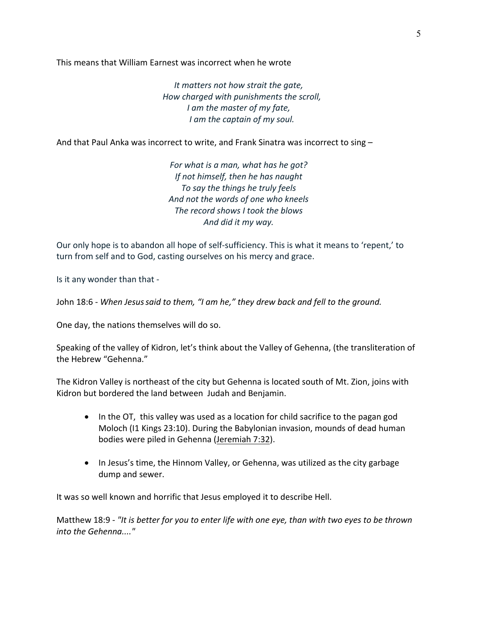This means that William Earnest was incorrect when he wrote

*It matters not how strait the gate, How charged with punishments the scroll, I am the master of my fate, I am the captain of my soul.*

And that Paul Anka was incorrect to write, and Frank Sinatra was incorrect to sing –

*For what is a man, what has he got? If not himself, then he has naught To say the things he truly feels And not the words of one who kneels The record shows I took the blows And did it my way.*

Our only hope is to abandon all hope of self-sufficiency. This is what it means to 'repent,' to turn from self and to God, casting ourselves on his mercy and grace.

Is it any wonder than that -

John 18:6 - *When Jesussaid to them, "I am he," they drew back and fell to the ground.*

One day, the nations themselves will do so.

Speaking of the valley of Kidron, let's think about the Valley of Gehenna, (the transliteration of the Hebrew "Gehenna."

The Kidron Valley is northeast of the city but Gehenna is located south of Mt. Zion, joins with Kidron but bordered the land between Judah and Benjamin.

- In the OT, this valley was used as a location for child sacrifice to the pagan god Moloch (I1 Kings 23:10). During the Babylonian invasion, mounds of dead human bodies were piled in Gehenna (Jeremiah 7:32).
- In Jesus's time, the Hinnom Valley, or Gehenna, was utilized as the city garbage dump and sewer.

It was so well known and horrific that Jesus employed it to describe Hell.

Matthew 18:9 - *"It is better for you to enter life with one eye, than with two eyes to be thrown into the Gehenna...."*